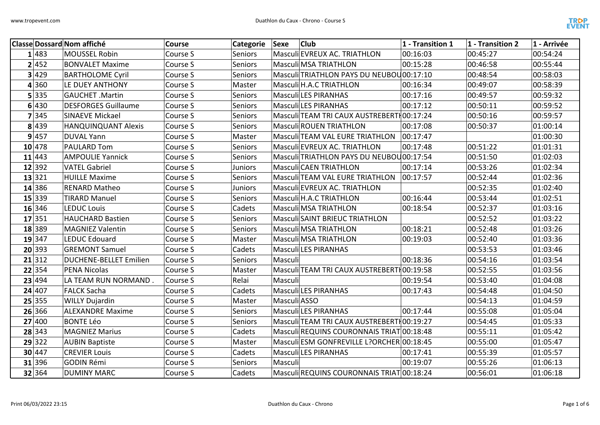

|   |        | <b>Classe Dossard Nom affiché</b> | Course   | Categorie      | Sexe         | <b>Club</b>                                | 1 - Transition 1 | 1 - Transition 2 | 1 - Arrivée |
|---|--------|-----------------------------------|----------|----------------|--------------|--------------------------------------------|------------------|------------------|-------------|
|   | 1 483  | <b>MOUSSEL Robin</b>              | Course S | Seniors        |              | Masculi EVREUX AC. TRIATHLON               | 00:16:03         | 00:45:27         | 00:54:24    |
|   | 2 452  | <b>BONVALET Maxime</b>            | Course S | Seniors        |              | <b>Masculi MSA TRIATHLON</b>               | 00:15:28         | 00:46:58         | 00:55:44    |
|   | 3 429  | <b>BARTHOLOME Cyril</b>           | Course S | <b>Seniors</b> |              | Masculi TRIATHLON PAYS DU NEUBOU 00:17:10  |                  | 00:48:54         | 00:58:03    |
| 4 | 360    | LE DUEY ANTHONY                   | Course S | Master         |              | Masculi H.A.C TRIATHLON                    | 00:16:34         | 00:49:07         | 00:58:39    |
|   | 5 335  | <b>GAUCHET .Martin</b>            | Course S | <b>Seniors</b> |              | <b>Masculi LES PIRANHAS</b>                | 00:17:16         | 00:49:57         | 00:59:32    |
|   | 6 430  | <b>DESFORGES Guillaume</b>        | Course S | Seniors        |              | Masculi LES PIRANHAS                       | 00:17:12         | 00:50:11         | 00:59:52    |
|   | 7 345  | <b>SINAEVE Mickael</b>            | Course S | Seniors        |              | Masculi TEAM TRI CAUX AUSTREBERTI 00:17:24 |                  | 00:50:16         | 00:59:57    |
|   | 8 439  | <b>HANQUINQUANT Alexis</b>        | Course S | <b>Seniors</b> |              | <b>Masculi ROUEN TRIATHLON</b>             | 00:17:08         | 00:50:37         | 01:00:14    |
|   | 9 457  | <b>DUVAL Yann</b>                 | Course S | Master         |              | Masculi TEAM VAL EURE TRIATHLON            | 00:17:47         |                  | 01:00:30    |
|   | 10 478 | <b>PAULARD Tom</b>                | Course S | Seniors        |              | Masculi EVREUX AC. TRIATHLON               | 00:17:48         | 00:51:22         | 01:01:31    |
|   | 11 443 | <b>AMPOULIE Yannick</b>           | Course S | <b>Seniors</b> |              | Masculi TRIATHLON PAYS DU NEUBOU 00:17:54  |                  | 00:51:50         | 01:02:03    |
|   | 12 392 | <b>VATEL Gabriel</b>              | Course S | <b>Juniors</b> |              | Masculi CAEN TRIATHLON                     | 00:17:14         | 00:53:26         | 01:02:34    |
|   | 13 321 | <b>HUILLE Maxime</b>              | Course S | Seniors        |              | Masculi TEAM VAL EURE TRIATHLON            | 00:17:57         | 00:52:44         | 01:02:36    |
|   | 14 386 | <b>RENARD Matheo</b>              | Course S | <b>Juniors</b> |              | Masculi EVREUX AC. TRIATHLON               |                  | 00:52:35         | 01:02:40    |
|   | 15 339 | <b>TIRARD Manuel</b>              | Course S | Seniors        |              | Masculi H.A.C TRIATHLON                    | 00:16:44         | 00:53:44         | 01:02:51    |
|   | 16 346 | <b>LEDUC Louis</b>                | Course S | Cadets         |              | <b>Masculi MSA TRIATHLON</b>               | 00:18:54         | 00:52:37         | 01:03:16    |
|   | 17 351 | <b>HAUCHARD Bastien</b>           | Course S | Seniors        |              | Masculi SAINT BRIEUC TRIATHLON             |                  | 00:52:52         | 01:03:22    |
|   | 18 389 | <b>MAGNIEZ Valentin</b>           | Course S | Seniors        |              | <b>Masculi MSA TRIATHLON</b>               | 00:18:21         | 00:52:48         | 01:03:26    |
|   | 19 347 | LEDUC Edouard                     | Course S | Master         |              | <b>Masculi MSA TRIATHLON</b>               | 00:19:03         | 00:52:40         | 01:03:36    |
|   | 20 393 | <b>GREMONT Samuel</b>             | Course S | Cadets         |              | Masculi LES PIRANHAS                       |                  | 00:53:53         | 01:03:46    |
|   | 21 312 | <b>DUCHENE-BELLET Emilien</b>     | Course S | Seniors        | Masculi      |                                            | 00:18:36         | 00:54:16         | 01:03:54    |
|   | 22 354 | <b>PENA Nicolas</b>               | Course S | Master         |              | Masculi TEAM TRI CAUX AUSTREBERTH00:19:58  |                  | 00:52:55         | 01:03:56    |
|   | 23 494 | LA TEAM RUN NORMAND.              | Course S | Relai          | Masculi      |                                            | 00:19:54         | 00:53:40         | 01:04:08    |
|   | 24 407 | <b>FALCK Sacha</b>                | Course S | Cadets         |              | <b>Masculi LES PIRANHAS</b>                | 00:17:43         | 00:54:48         | 01:04:50    |
|   | 25 355 | <b>WILLY Dujardin</b>             | Course S | Master         | Masculi ASSO |                                            |                  | 00:54:13         | 01:04:59    |
|   | 26 366 | <b>ALEXANDRE Maxime</b>           | Course S | <b>Seniors</b> |              | Masculi LES PIRANHAS                       | 00:17:44         | 00:55:08         | 01:05:04    |
|   | 27 400 | <b>BONTE Léo</b>                  | Course S | <b>Seniors</b> |              | Masculi TEAM TRI CAUX AUSTREBERTI 00:19:27 |                  | 00:54:45         | 01:05:33    |
|   | 28 343 | <b>MAGNIEZ Marius</b>             | Course S | Cadets         |              | Masculi REQUINS COURONNAIS TRIAT 00:18:48  |                  | 00:55:11         | 01:05:42    |
|   | 29 322 | <b>AUBIN Baptiste</b>             | Course S | Master         |              | Masculi ESM GONFREVILLE L?ORCHER 00:18:45  |                  | 00:55:00         | 01:05:47    |
|   | 30 447 | <b>CREVIER Louis</b>              | Course S | Cadets         |              | Masculi LES PIRANHAS                       | 00:17:41         | 00:55:39         | 01:05:57    |
|   | 31 396 | <b>GODIN Rémi</b>                 | Course S | Seniors        | Masculi      |                                            | 00:19:07         | 00:55:26         | 01:06:13    |
|   | 32 364 | <b>DUMINY MARC</b>                | Course S | Cadets         |              | Masculi REQUINS COURONNAIS TRIAT 00:18:24  |                  | 00:56:01         | 01:06:18    |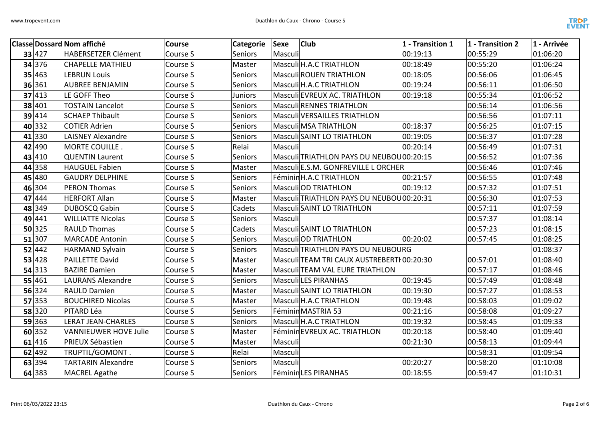

| <b>Classe Dossard Nom affiché</b> |                              | Course   | Categorie Sexe | <b>Club</b>                                | 1 - Transition 1 | 1 - Transition 2 | 1 - Arrivée |
|-----------------------------------|------------------------------|----------|----------------|--------------------------------------------|------------------|------------------|-------------|
| 33 427                            | <b>HABERSETZER Clément</b>   | Course S | <b>Seniors</b> | Masculi                                    | 00:19:13         | 00:55:29         | 01:06:20    |
| 34 376                            | <b>CHAPELLE MATHIEU</b>      | Course S | Master         | Masculi H.A.C TRIATHLON                    | 00:18:49         | 00:55:20         | 01:06:24    |
| 35 463                            | <b>LEBRUN Louis</b>          | Course S | Seniors        | <b>Masculi ROUEN TRIATHLON</b>             | 00:18:05         | 00:56:06         | 01:06:45    |
| 36 361                            | <b>AUBREE BENJAMIN</b>       | Course S | Seniors        | Masculi H.A.C TRIATHLON                    | 00:19:24         | 00:56:11         | 01:06:50    |
| 37 413                            | LE GOFF Theo                 | Course S | Juniors        | Masculi EVREUX AC. TRIATHLON               | 00:19:18         | 00:55:34         | 01:06:52    |
| 38 401                            | <b>TOSTAIN Lancelot</b>      | Course S | Seniors        | <b>Masculi RENNES TRIATHLON</b>            |                  | 00:56:14         | 01:06:56    |
| 39 414                            | <b>SCHAEP Thibault</b>       | Course S | Seniors        | Masculi VERSAILLES TRIATHLON               |                  | 00:56:56         | 01:07:11    |
| 40 332                            | <b>COTIER Adrien</b>         | Course S | <b>Seniors</b> | Masculi MSA TRIATHLON                      | 00:18:37         | 00:56:25         | 01:07:15    |
| 41 330                            | <b>LAISNEY Alexandre</b>     | Course S | <b>Seniors</b> | Masculi SAINT LO TRIATHLON                 | 00:19:05         | 00:56:37         | 01:07:28    |
| 42 490                            | MORTE COUILLE.               | Course S | Relai          | Masculi                                    | 00:20:14         | 00:56:49         | 01:07:31    |
| 43 410                            | <b>QUENTIN Laurent</b>       | Course S | <b>Seniors</b> | Masculi TRIATHLON PAYS DU NEUBOU00:20:15   |                  | 00:56:52         | 01:07:36    |
| 44 358                            | <b>HAUGUEL Fabien</b>        | Course S | Master         | Masculi E.S.M. GONFREVILLE L ORCHER        |                  | 00:56:46         | 01:07:46    |
| 45 480                            | <b>GAUDRY DELPHINE</b>       | Course S | <b>Seniors</b> | Féminin H.A.C TRIATHLON                    | 00:21:57         | 00:56:55         | 01:07:48    |
| 46 304                            | <b>PERON Thomas</b>          | Course S | <b>Seniors</b> | Masculi OD TRIATHLON                       | 00:19:12         | 00:57:32         | 01:07:51    |
| 47 444                            | <b>HERFORT Allan</b>         | Course S | Master         | Masculi TRIATHLON PAYS DU NEUBOU 00:20:31  |                  | 00:56:30         | 01:07:53    |
| 48 349                            | DUBOSCQ Gabin                | Course S | Cadets         | Masculi SAINT LO TRIATHLON                 |                  | 00:57:11         | 01:07:59    |
| 49 441                            | <b>WILLIATTE Nicolas</b>     | Course S | <b>Seniors</b> | Masculi                                    |                  | 00:57:37         | 01:08:14    |
| 50 325                            | <b>RAULD Thomas</b>          | Course S | Cadets         | Masculi SAINT LO TRIATHLON                 |                  | 00:57:23         | 01:08:15    |
| 51 307                            | <b>MARCADE Antonin</b>       | Course S | <b>Seniors</b> | Masculi OD TRIATHLON                       | 00:20:02         | 00:57:45         | 01:08:25    |
| 52 442                            | HARMAND Sylvain              | Course S | Seniors        | Masculi TRIATHLON PAYS DU NEUBOURG         |                  |                  | 01:08:37    |
| 53 428                            | <b>PAILLETTE David</b>       | Course S | Master         | Masculi TEAM TRI CAUX AUSTREBERTI 00:20:30 |                  | 00:57:01         | 01:08:40    |
| 54 313                            | <b>BAZIRE Damien</b>         | Course S | Master         | Masculi TEAM VAL EURE TRIATHLON            |                  | 00:57:17         | 01:08:46    |
| 55 461                            | <b>LAURANS Alexandre</b>     | Course S | Seniors        | Masculi LES PIRANHAS                       | 00:19:45         | 00:57:49         | 01:08:48    |
| 56 324                            | <b>RAULD Damien</b>          | Course S | Master         | <b>Masculi SAINT LO TRIATHLON</b>          | 00:19:30         | 00:57:27         | 01:08:53    |
| 57 353                            | <b>BOUCHIRED Nicolas</b>     | Course S | Master         | Masculi H.A.C TRIATHLON                    | 00:19:48         | 00:58:03         | 01:09:02    |
| 58 320                            | PITARD Léa                   | Course S | Seniors        | Féminin MASTRIA 53                         | 00:21:16         | 00:58:08         | 01:09:27    |
| 59 363                            | LERAT JEAN-CHARLES           | Course S | Seniors        | Masculi H.A.C TRIATHLON                    | 00:19:32         | 00:58:45         | 01:09:33    |
| 60 352                            | <b>VANNIEUWER HOVE Julie</b> | Course S | Master         | Féminin EVREUX AC. TRIATHLON               | 00:20:18         | 00:58:40         | 01:09:40    |
| 61 416                            | PRIEUX Sébastien             | Course S | Master         | Masculi                                    | 00:21:30         | 00:58:13         | 01:09:44    |
| 62 492                            | TRUPTIL/GOMONT.              | Course S | Relai          | Masculi                                    |                  | 00:58:31         | 01:09:54    |
| 63 394                            | <b>TARTARIN Alexandre</b>    | Course S | Seniors        | Masculi                                    | 00:20:27         | 00:58:20         | 01:10:08    |
| 64 383                            | <b>MACREL Agathe</b>         | Course S | Seniors        | Féminin LES PIRANHAS                       | 00:18:55         | 00:59:47         | 01:10:31    |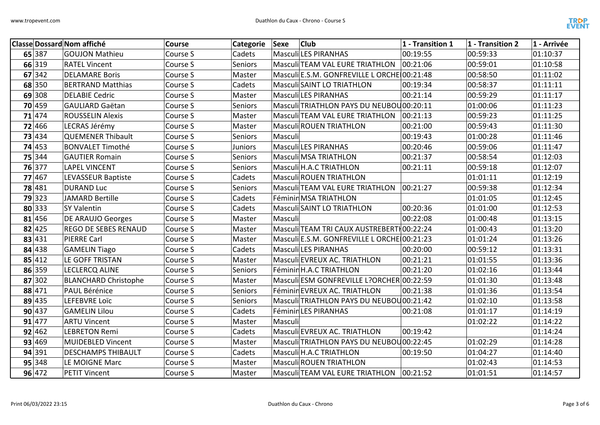

|        | <b>Classe Dossard Nom affiché</b> | <b>Course</b> | Categorie      | <b>Club</b><br>Sexe                         | $1$ - Transition 1 | 1 - Transition 2 | 1 - Arrivée |
|--------|-----------------------------------|---------------|----------------|---------------------------------------------|--------------------|------------------|-------------|
| 65 387 | <b>GOUJON Mathieu</b>             | Course S      | Cadets         | Masculi LES PIRANHAS                        | 00:19:55           | 00:59:33         | 01:10:37    |
| 66 319 | <b>RATEL Vincent</b>              | Course S      | Seniors        | Masculi TEAM VAL EURE TRIATHLON             | 00:21:06           | 00:59:01         | 01:10:58    |
| 67 342 | <b>DELAMARE Boris</b>             | Course S      | Master         | Masculi E.S.M. GONFREVILLE L ORCHE 00:21:48 |                    | 00:58:50         | 01:11:02    |
| 68 350 | <b>BERTRAND Matthias</b>          | Course S      | Cadets         | Masculi SAINT LO TRIATHLON                  | 00:19:34           | 00:58:37         | 01:11:11    |
| 69 308 | <b>DELABIE Cedric</b>             | Course S      | Master         | <b>Masculi LES PIRANHAS</b>                 | 00:21:14           | 00:59:29         | 01:11:17    |
| 70 459 | <b>GAULIARD Gaëtan</b>            | Course S      | Seniors        | Masculi TRIATHLON PAYS DU NEUBOU 00:20:11   |                    | 01:00:06         | 01:11:23    |
| 71 474 | <b>ROUSSELIN Alexis</b>           | Course S      | Master         | Masculi TEAM VAL EURE TRIATHLON             | 00:21:13           | 00:59:23         | 01:11:25    |
| 72 466 | LECRAS Jérémy                     | Course S      | Master         | <b>Masculi ROUEN TRIATHLON</b>              | 00:21:00           | 00:59:43         | 01:11:30    |
| 73 434 | <b>QUEMENER Thibault</b>          | Course S      | Seniors        | Masculi                                     | 00:19:43           | 01:00:28         | 01:11:46    |
| 74 453 | <b>BONVALET Timothé</b>           | Course S      | <b>Juniors</b> | <b>Masculi LES PIRANHAS</b>                 | 00:20:46           | 00:59:06         | 01:11:47    |
| 75 344 | <b>GAUTIER Romain</b>             | Course S      | <b>Seniors</b> | Masculi MSA TRIATHLON                       | 00:21:37           | 00:58:54         | 01:12:03    |
| 76 377 | <b>LAPEL VINCENT</b>              | Course S      | <b>Seniors</b> | Masculi H.A.C TRIATHLON                     | 00:21:11           | 00:59:18         | 01:12:07    |
| 77 467 | <b>LEVASSEUR Baptiste</b>         | Course S      | Cadets         | <b>Masculi ROUEN TRIATHLON</b>              |                    | 01:01:11         | 01:12:19    |
| 78 481 | <b>DURAND Luc</b>                 | Course S      | Seniors        | Masculi TEAM VAL EURE TRIATHLON   00:21:27  |                    | 00:59:38         | 01:12:34    |
| 79 323 | <b>JAMARD Bertille</b>            | Course S      | Cadets         | Féminin MSA TRIATHLON                       |                    | 01:01:05         | 01:12:45    |
| 80 333 | <b>SY Valentin</b>                | Course S      | Cadets         | Masculi SAINT LO TRIATHLON                  | 00:20:36           | 01:01:00         | 01:12:53    |
| 81 456 | DE ARAUJO Georges                 | Course S      | Master         | Masculi                                     | 00:22:08           | 01:00:48         | 01:13:15    |
| 82 425 | REGO DE SEBES RENAUD              | Course S      | Master         | Masculi TEAM TRI CAUX AUSTREBERTI 00:22:24  |                    | 01:00:43         | 01:13:20    |
| 83 431 | PIERRE Carl                       | Course S      | Master         | Masculi E.S.M. GONFREVILLE L ORCHE 00:21:23 |                    | 01:01:24         | 01:13:26    |
| 84 438 | <b>GAMELIN Tiago</b>              | Course S      | Cadets         | <b>Masculi LES PIRANHAS</b>                 | 00:20:00           | 00:59:12         | 01:13:31    |
| 85 412 | LE GOFF TRISTAN                   | Course S      | Master         | Masculi EVREUX AC. TRIATHLON                | 00:21:21           | 01:01:55         | 01:13:36    |
| 86 359 | <b>LECLERCQ ALINE</b>             | Course S      | Seniors        | Féminin H.A.C TRIATHLON                     | 00:21:20           | 01:02:16         | 01:13:44    |
| 87 302 | <b>BLANCHARD Christophe</b>       | Course S      | Master         | Masculi ESM GONFREVILLE L?ORCHER 00:22:59   |                    | 01:01:30         | 01:13:48    |
| 88 471 | PAUL Bérénice                     | Course S      | <b>Seniors</b> | Féminin EVREUX AC. TRIATHLON                | 00:21:38           | 01:01:36         | 01:13:54    |
| 89 435 | <b>LEFEBVRE Loïc</b>              | Course S      | Seniors        | Masculi TRIATHLON PAYS DU NEUBOU00:21:42    |                    | 01:02:10         | 01:13:58    |
| 90 437 | <b>GAMELIN Lilou</b>              | Course S      | Cadets         | Féminin LES PIRANHAS                        | 00:21:08           | 01:01:17         | 01:14:19    |
| 91 477 | <b>ARTU Vincent</b>               | Course S      | Master         | Masculi                                     |                    | 01:02:22         | 01:14:22    |
| 92 462 | <b>LEBRETON Remi</b>              | Course S      | Cadets         | Masculi EVREUX AC. TRIATHLON                | 00:19:42           |                  | 01:14:24    |
| 93 469 | <b>MUIDEBLED Vincent</b>          | Course S      | Master         | Masculi TRIATHLON PAYS DU NEUBOU00:22:45    |                    | 01:02:29         | 01:14:28    |
| 94 391 | <b>DESCHAMPS THIBAULT</b>         | Course S      | Cadets         | Masculi H.A.C TRIATHLON                     | 00:19:50           | 01:04:27         | 01:14:40    |
| 95 348 | LE MOIGNE Marc                    | Course S      | Master         | <b>Masculi ROUEN TRIATHLON</b>              |                    | 01:02:43         | 01:14:53    |
| 96 472 | <b>PETIT Vincent</b>              | Course S      | Master         | Masculi TEAM VAL EURE TRIATHLON 00:21:52    |                    | 01:01:51         | 01:14:57    |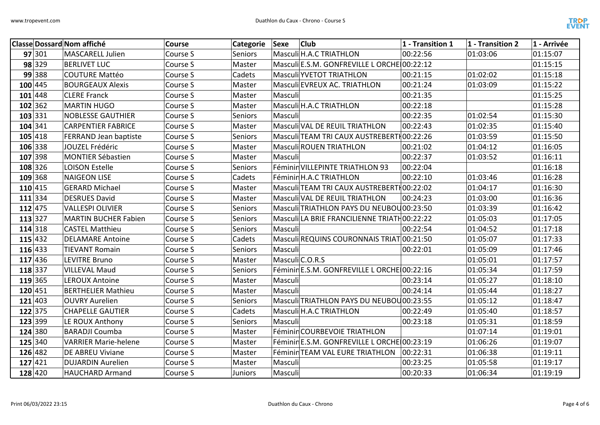

|           |        | <b>Classe Dossard Nom affiché</b> | Course   | Categorie      | <b>Club</b><br>Sexe                         | 1 - Transition 1 | $1$ - Transition 2 | 1 - Arrivée |
|-----------|--------|-----------------------------------|----------|----------------|---------------------------------------------|------------------|--------------------|-------------|
| 97 301    |        | <b>MASCARELL Julien</b>           | Course S | <b>Seniors</b> | Masculi H.A.C TRIATHLON                     | 00:22:56         | 01:03:06           | 01:15:07    |
|           | 98 329 | <b>BERLIVET LUC</b>               | Course S | Master         | Masculi E.S.M. GONFREVILLE L ORCHE 00:22:12 |                  |                    | 01:15:15    |
|           | 99 388 | <b>COUTURE Mattéo</b>             | Course S | Cadets         | <b>Masculi YVETOT TRIATHLON</b>             | 00:21:15         | 01:02:02           | 01:15:18    |
| 100 445   |        | <b>BOURGEAUX Alexis</b>           | Course S | Master         | Masculi EVREUX AC. TRIATHLON                | 00:21:24         | 01:03:09           | 01:15:22    |
| 101 448   |        | <b>CLERE Franck</b>               | Course S | Master         | Masculi                                     | 00:21:35         |                    | 01:15:25    |
| 102 362   |        | <b>MARTIN HUGO</b>                | Course S | Master         | Masculi H.A.C TRIATHLON                     | 00:22:18         |                    | 01:15:28    |
| 103 331   |        | <b>NOBLESSE GAUTHIER</b>          | Course S | Seniors        | Masculi                                     | 00:22:35         | 01:02:54           | 01:15:30    |
| 104 341   |        | <b>CARPENTIER FABRICE</b>         | Course S | Master         | Masculi VAL DE REUIL TRIATHLON              | 00:22:43         | 01:02:35           | 01:15:40    |
| 105 418   |        | <b>FERRAND Jean baptiste</b>      | Course S | Seniors        | Masculi TEAM TRI CAUX AUSTREBERTI 00:22:26  |                  | 01:03:59           | 01:15:50    |
| 106 338   |        | JOUZEL Frédéric                   | Course S | Master         | <b>Masculi ROUEN TRIATHLON</b>              | 00:21:02         | 01:04:12           | 01:16:05    |
| 107 398   |        | <b>MONTIER Sébastien</b>          | Course S | Master         | Masculi                                     | 00:22:37         | 01:03:52           | 01:16:11    |
| 108 326   |        | <b>LOISON Estelle</b>             | Course S | Seniors        | Féminin VILLEPINTE TRIATHLON 93             | 00:22:04         |                    | 01:16:18    |
| 109 368   |        | <b>NAIGEON LISE</b>               | Course S | Cadets         | Féminin H.A.C TRIATHLON                     | 00:22:10         | 01:03:46           | 01:16:28    |
| 110 415   |        | <b>GERARD Michael</b>             | Course S | Master         | Masculi TEAM TRI CAUX AUSTREBERTH00:22:02   |                  | 01:04:17           | 01:16:30    |
| 111 334   |        | <b>DESRUES David</b>              | Course S | Master         | Masculi VAL DE REUIL TRIATHLON              | 00:24:23         | 01:03:00           | 01:16:36    |
| $112$ 475 |        | <b>VALLESPI OLIVIER</b>           | Course S | Seniors        | Masculi TRIATHLON PAYS DU NEUBOU 00:23:50   |                  | 01:03:39           | 01:16:42    |
| 113 327   |        | MARTIN BUCHER Fabien              | Course S | <b>Seniors</b> | Masculi LA BRIE FRANCILIENNE TRIATH00:22:22 |                  | 01:05:03           | 01:17:05    |
| 114 318   |        | <b>CASTEL Matthieu</b>            | Course S | Seniors        | Masculi                                     | 00:22:54         | 01:04:52           | 01:17:18    |
| 115 432   |        | <b>DELAMARE Antoine</b>           | Course S | Cadets         | Masculi REQUINS COURONNAIS TRIAT 00:21:50   |                  | 01:05:07           | 01:17:33    |
| 116 433   |        | <b>TIEVANT Romain</b>             | Course S | <b>Seniors</b> | Masculi                                     | 00:22:01         | 01:05:09           | 01:17:46    |
| 117 436   |        | <b>LEVITRE Bruno</b>              | Course S | Master         | Masculi C.O.R.S                             |                  | 01:05:01           | 01:17:57    |
| 118 337   |        | <b>VILLEVAL Maud</b>              | Course S | Seniors        | Féminin E.S.M. GONFREVILLE L ORCHE 00:22:16 |                  | 01:05:34           | 01:17:59    |
| 119 365   |        | <b>LEROUX Antoine</b>             | Course S | Master         | Masculi                                     | 00:23:14         | 01:05:27           | 01:18:10    |
| 120 451   |        | <b>BERTHELIER Mathieu</b>         | Course S | Master         | Masculi                                     | 00:24:14         | 01:05:44           | 01:18:27    |
| 121 403   |        | <b>OUVRY Aurelien</b>             | Course S | Seniors        | Masculi TRIATHLON PAYS DU NEUBOU 00:23:55   |                  | 01:05:12           | 01:18:47    |
| 122 375   |        | <b>CHAPELLE GAUTIER</b>           | Course S | Cadets         | Masculi H.A.C TRIATHLON                     | 00:22:49         | 01:05:40           | 01:18:57    |
| 123 399   |        | LE ROUX Anthony                   | Course S | Seniors        | Masculi                                     | 00:23:18         | 01:05:31           | 01:18:59    |
| 124 380   |        | <b>BARADJI Coumba</b>             | Course S | Master         | Féminin COURBEVOIE TRIATHLON                |                  | 01:07:14           | 01:19:01    |
| 125 340   |        | <b>VARRIER Marie-helene</b>       | Course S | Master         | Féminin E.S.M. GONFREVILLE L ORCHE 00:23:19 |                  | 01:06:26           | 01:19:07    |
| 126 482   |        | DE ABREU Viviane                  | Course S | Master         | Féminin TEAM VAL EURE TRIATHLON             | 00:22:31         | 01:06:38           | 01:19:11    |
| 127 421   |        | <b>DUJARDIN Aurelien</b>          | Course S | Master         | Masculi                                     | 00:23:25         | 01:05:58           | 01:19:17    |
| 128 420   |        | <b>HAUCHARD Armand</b>            | Course S | <b>Juniors</b> | Masculi                                     | 00:20:33         | 01:06:34           | 01:19:19    |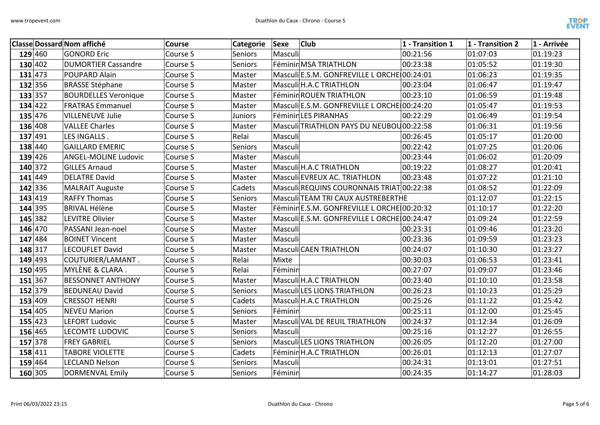

|         | <b>Classe Dossard Nom affiché</b> | Course   | Categorie      | <b>Club</b><br>Sexe                         | 1 - Transition 1 | 1 - Transition 2 | 1 - Arrivée |
|---------|-----------------------------------|----------|----------------|---------------------------------------------|------------------|------------------|-------------|
| 129 460 | <b>GONORD Eric</b>                | Course S | <b>Seniors</b> | Masculi                                     | 00:21:56         | 01:07:03         | 01:19:23    |
| 130 402 | <b>DUMORTIER Cassandre</b>        | Course S | <b>Seniors</b> | Féminin MSA TRIATHLON                       | 00:23:38         | 01:05:52         | 01:19:30    |
| 131 473 | POUPARD Alain                     | Course S | Master         | Masculi E.S.M. GONFREVILLE L ORCHE 00:24:01 |                  | 01:06:23         | 01:19:35    |
| 132 356 | <b>BRASSE Stéphane</b>            | Course S | Master         | Masculi H.A.C TRIATHLON                     | 00:23:04         | 01:06:47         | 01:19:47    |
| 133 357 | <b>BOURDELLES Veronique</b>       | Course S | Master         | Féminin ROUEN TRIATHLON                     | 00:23:10         | 01:06:59         | 01:19:48    |
| 134 422 | <b>FRATRAS Emmanuel</b>           | Course S | Master         | Masculi E.S.M. GONFREVILLE L ORCHE 00:24:20 |                  | 01:05:47         | 01:19:53    |
| 135 476 | <b>VILLENEUVE Julie</b>           | Course S | Juniors        | Féminin LES PIRANHAS                        | 00:22:29         | 01:06:49         | 01:19:54    |
| 136 408 | <b>VALLEE Charles</b>             | Course S | Master         | Masculi TRIATHLON PAYS DU NEUBOU00:22:58    |                  | 01:06:31         | 01:19:56    |
| 137 491 | LES INGALLS.                      | Course S | Relai          | Masculi                                     | 00:26:45         | 01:05:17         | 01:20:00    |
| 138 440 | <b>GAILLARD EMERIC</b>            | Course S | <b>Seniors</b> | Masculi                                     | 00:22:42         | 01:07:25         | 01:20:06    |
| 139 426 | <b>ANGEL-MOLINE Ludovic</b>       | Course S | Master         | Masculi                                     | 00:23:44         | 01:06:02         | 01:20:09    |
| 140 372 | <b>GILLES Arnaud</b>              | Course S | Master         | Masculi H.A.C TRIATHLON                     | 00:19:22         | 01:08:27         | 01:20:41    |
| 141 449 | <b>DELATRE David</b>              | Course S | Master         | Masculi EVREUX AC. TRIATHLON                | 00:23:48         | 01:07:22         | 01:21:10    |
| 142 336 | <b>MALRAIT Auguste</b>            | Course S | Cadets         | Masculi REQUINS COURONNAIS TRIAT 00:22:38   |                  | 01:08:52         | 01:22:09    |
| 143 419 | <b>RAFFY Thomas</b>               | Course S | <b>Seniors</b> | Masculi TEAM TRI CAUX AUSTREBERTHE          |                  | 01:12:07         | 01:22:15    |
| 144 395 | <b>BRIVAL Hélène</b>              | Course S | Master         | Féminin E.S.M. GONFREVILLE L ORCHE 00:20:32 |                  | 01:10:17         | 01:22:20    |
| 145 382 | <b>LEVITRE Olivier</b>            | Course S | Master         | Masculi E.S.M. GONFREVILLE L ORCHE 00:24:47 |                  | 01:09:24         | 01:22:59    |
| 146 470 | PASSANI Jean-noel                 | Course S | Master         | Masculi                                     | 00:23:31         | 01:09:46         | 01:23:20    |
| 147 484 | <b>BOINET Vincent</b>             | Course S | Master         | Masculi                                     | 00:23:36         | 01:09:59         | 01:23:23    |
| 148 317 | <b>LECOUFLET David</b>            | Course S | Master         | Masculi CAEN TRIATHLON                      | 00:24:07         | 01:10:30         | 01:23:27    |
| 149 493 | COUTURIER/LAMANT.                 | Course S | Relai          | Mixte                                       | 00:30:03         | 01:06:53         | 01:23:41    |
| 150 495 | MYLÈNE & CLARA.                   | Course S | Relai          | Féminin                                     | 00:27:07         | 01:09:07         | 01:23:46    |
| 151 367 | <b>BESSONNET ANTHONY</b>          | Course S | Master         | Masculi H.A.C TRIATHLON                     | 00:23:40         | 01:10:10         | 01:23:58    |
| 152 379 | <b>BEDUNEAU David</b>             | Course S | <b>Seniors</b> | Masculi LES LIONS TRIATHLON                 | 00:26:23         | 01:10:23         | 01:25:29    |
| 153 409 | <b>CRESSOT HENRI</b>              | Course S | Cadets         | Masculi H.A.C TRIATHLON                     | 00:25:26         | 01:11:22         | 01:25:42    |
| 154 405 | <b>NEVEU Marion</b>               | Course S | <b>Seniors</b> | Féminin                                     | 00:25:11         | 01:12:00         | 01:25:45    |
| 155 423 | <b>LEFORT Ludovic</b>             | Course S | Master         | Masculi VAL DE REUIL TRIATHLON              | 00:24:37         | 01:12:34         | 01:26:09    |
| 156 465 | <b>LECOMTE LUDOVIC</b>            | Course S | <b>Seniors</b> | Masculi                                     | 00:25:16         | 01:12:27         | 01:26:55    |
| 157 378 | <b>FREY GABRIEL</b>               | Course S | Seniors        | Masculi LES LIONS TRIATHLON                 | 00:26:05         | 01:12:20         | 01:27:00    |
| 158 411 | <b>TABORE VIOLETTE</b>            | Course S | Cadets         | Féminin H.A.C TRIATHLON                     | 00:26:01         | 01:12:13         | 01:27:07    |
| 159 464 | <b>LECLAND Nelson</b>             | Course S | Seniors        | Masculi                                     | 00:24:31         | 01:13:01         | 01:27:51    |
| 160 305 | <b>DORMENVAL Emily</b>            | Course S | Seniors        | Féminin                                     | 00:24:35         | 01:14:27         | 01:28:03    |